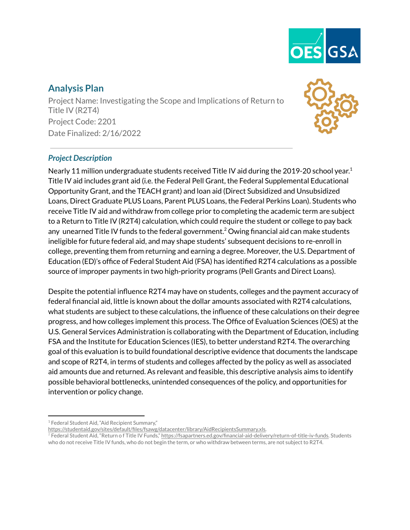

# **Analysis Plan**

Project Name: Investigating the Scope and Implications of Return to Title IV (R2T4) Project Code: 2201 Date Finalized: 2/16/2022



### *Project Description*

Nearly 11 million undergraduate students received Title IV aid during the 2019-20 school year. 1 Title IV aid includes grant aid (i.e. the Federal Pell Grant, the Federal Supplemental Educational Opportunity Grant, and the TEACH grant) and loan aid (Direct Subsidized and Unsubsidized Loans, Direct Graduate PLUS Loans, Parent PLUS Loans, the Federal Perkins Loan). Students who receive Title IV aid and withdraw from college prior to completing the academic term are subject to a Return to Title IV (R2T4) calculation, which could require the student or college to pay back any unearned Title IV funds to the federal government.<sup>2</sup> Owing financial aid can make students ineligible for future federal aid, and may shape students' subsequent decisions to re-enroll in college, preventing them from returning and earning a degree. Moreover, the U.S. Department of Education (ED)'s office of Federal Student Aid (FSA) has identified R2T4 calculations as a possible source of improper payments in two high-priority programs (Pell Grants and Direct Loans).

Despite the potential influence R2T4 may have on students, colleges and the payment accuracy of federal financial aid, little is known about the dollar amounts associated with R2T4 calculations, what students are subject to these calculations, the influence of these calculations on their degree progress, and how colleges implement this process. The Office of Evaluation Sciences (OES) at the U.S. General Services Administration is collaborating with the Department of Education, including FSA and the Institute for Education Sciences (IES), to better understand R2T4. The overarching goal of this evaluation is to build foundational descriptive evidence that documents the landscape and scope of R2T4, in terms of students and colleges affected by the policy as well as associated aid amounts due and returned. As relevant and feasible, this descriptive analysis aims to identify possible behavioral bottlenecks, unintended consequences of the policy, and opportunities for intervention or policy change.

<sup>&</sup>lt;sup>1</sup> Federal Student Aid, "Aid Recipient Summary,"

[https://studentaid.gov/sites/default/files/fsawg/datacenter/library/AidRecipientsSummary.xls.](https://studentaid.gov/sites/default/files/fsawg/datacenter/library/AidRecipientsSummary.xls)

<sup>&</sup>lt;sup>2</sup> Federal Student Aid, "Return of Title IV Funds," [https://fsapartners.ed.gov/financial-aid-delivery/return-of-title-iv-funds.](https://fsapartners.ed.gov/financial-aid-delivery/return-of-title-iv-funds) Students who do not receive Title IV funds, who do not begin the term, or who withdraw between terms, are not subject to R2T4.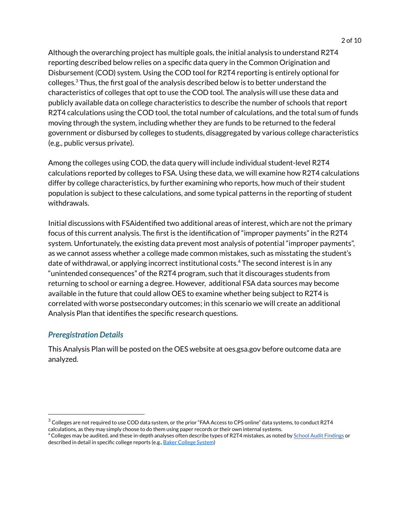Although the overarching project has multiple goals, the initial analysis to understand R2T4 reporting described below relies on a specific data query in the Common Origination and Disbursement (COD) system. Using the COD tool for R2T4 reporting is entirely optional for colleges. $^3$  Thus, the first goal of the analysis described below is to better understand the characteristics of colleges that opt to use the COD tool. The analysis will use these data and publicly available data on college characteristics to describe the number of schools that report R2T4 calculations using the COD tool, the total number of calculations, and the total sum of funds moving through the system, including whether they are funds to be returned to the federal government or disbursed by colleges to students, disaggregated by various college characteristics (e.g., public versus private).

Among the colleges using COD, the data query will include individual student-level R2T4 calculations reported by colleges to FSA. Using these data, we will examine how R2T4 calculations differ by college characteristics, by further examining who reports, how much of their student population is subject to these calculations, and some typical patterns in the reporting of student withdrawals.

Initial discussions with FSAidentified two additional areas of interest, which are not the primary focus of this current analysis. The first is the identification of "improper payments" in the R2T4 system. Unfortunately, the existing data prevent most analysis of potential "improper payments", as we cannot assess whether a college made common mistakes, such as misstating the student's date of withdrawal, or applying incorrect institutional costs. $4$  The second interest is in any "unintended consequences" of the R2T4 program, such that it discourages students from returning to school or earning a degree. However, additional FSA data sources may become available in the future that could allow OES to examine whether being subject to R2T4 is correlated with worse postsecondary outcomes; in this scenario we will create an additional Analysis Plan that identifies the specific research questions.

### *Preregistration Details*

This Analysis Plan will be posted on the OES website at oes.gsa.gov before outcome data are analyzed.

 $3$  Colleges are not required to use COD data system, or the prior "FAA Access to CPS online" data systems, to conduct R2T4 calculations, as they may simply choose to do them using paper records or their own internal systems.

<sup>4</sup> Colleges may be audited, and these in-depth analyses often describe types of R2T4 mistakes, as noted by School Audit [Findings](https://studentaid.gov/sites/default/files/top-findings.xlsx) or described in detail in specific college reports (e.g., Baker [College](https://my.baker.edu/icsfileserver/docs/departments/dept-info/inst-effect-research/sys-portfolio/cat4/4-4/evidence-files/Financial%20Aid%20&%20R2T4%20Audit%20F17.pdf) System)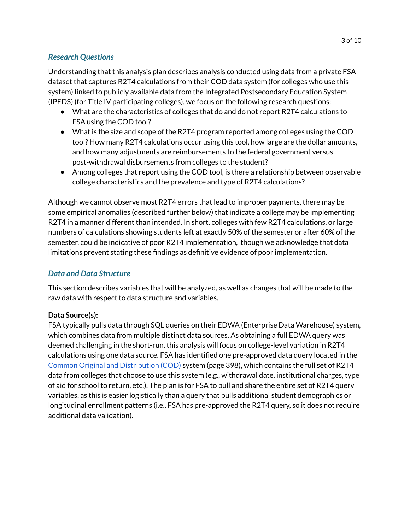#### *Research Questions*

Understanding that this analysis plan describes analysis conducted using data from a private FSA dataset that captures R2T4 calculations from their COD data system (for colleges who use this system) linked to publicly available data from the Integrated Postsecondary Education System (IPEDS) (for Title IV participating colleges), we focus on the following research questions:

- What are the characteristics of colleges that do and do not report R2T4 calculations to FSA using the COD tool?
- What is the size and scope of the R2T4 program reported among colleges using the COD tool? How many R2T4 calculations occur using this tool, how large are the dollar amounts, and how many adjustments are reimbursements to the federal government versus post-withdrawal disbursements from colleges to the student?
- Among colleges that report using the COD tool, is there a relationship between observable college characteristics and the prevalence and type of R2T4 calculations?

Although we cannot observe most R2T4 errors that lead to improper payments, there may be some empirical anomalies (described further below) that indicate a college may be implementing R2T4 in a manner different than intended. In short, colleges with few R2T4 calculations, or large numbers of calculations showing students left at exactly 50% of the semester or after 60% of the semester, could be indicative of poor R2T4 implementation, though we acknowledge that data limitations prevent stating these findings as definitive evidence of poor implementation.

#### *Data and Data Structure*

This section describes variables that will be analyzed, as well as changes that will be made to the raw data with respect to data structure and variables.

#### **Data Source(s):**

FSA typically pulls data through SQL queries on their EDWA (Enterprise Data Warehouse) system, which combines data from multiple distinct data sources. As obtaining a full EDWA query was deemed challenging in the short-run, this analysis will focus on college-level variation in R2T4 calculations using one data source. FSA has identified one pre-approved data query located in the Common Original and [Distribution](https://fsapartners.ed.gov/sites/default/files/attachments/2019-12/2021CODTechRefVol6.pdf) (COD) system (page 398), which contains the full set of R2T4 data from colleges that choose to use this system (e.g., withdrawal date, institutional charges, type of aid for school to return, etc.). The plan is for FSA to pull and share the entire set of R2T4 query variables, as this is easier logistically than a query that pulls additional student demographics or longitudinal enrollment patterns (i.e., FSA has pre-approved the R2T4 query, so it does not require additional data validation).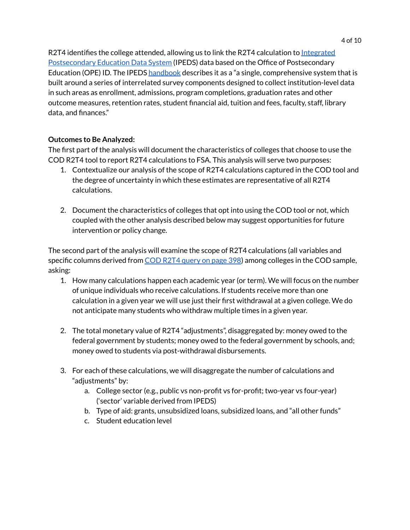R2T4 identifies the college attended, allowing us to link the R2T4 calculation to [Integrated](https://nces.ed.gov/ipeds/) [Postsecondary](https://nces.ed.gov/ipeds/) Education Data System (IPEDS) data based on the Office of Postsecondary Education (OPE) ID. The IPEDS [handbook](https://nces.ed.gov/statprog/handbook/pdf/ipeds.pdf) describes it as a "a single, comprehensive system that is built around a series of interrelated survey components designed to collect institution-level data in such areas as enrollment, admissions, program completions, graduation rates and other outcome measures, retention rates, student financial aid, tuition and fees, faculty, staff, library data, and finances."

## **Outcomes to Be Analyzed:**

The first part of the analysis will document the characteristics of colleges that choose to use the COD R2T4 tool to report R2T4 calculations to FSA. This analysis will serve two purposes:

- 1. Contextualize our analysis of the scope of R2T4 calculations captured in the COD tool and the degree of uncertainty in which these estimates are representative of all R2T4 calculations.
- 2. Document the characteristics of colleges that opt into using the COD tool or not, which coupled with the other analysis described below may suggest opportunities for future intervention or policy change.

The second part of the analysis will examine the scope of R2T4 calculations (all variables and specific columns derived from COD R2T4 [query](https://fsapartners.ed.gov/sites/default/files/attachments/2019-12/2021CODTechRefVol6.pdf) on page 398) among colleges in the COD sample, asking:

- 1. How many calculations happen each academic year (or term). We will focus on the number of unique individuals who receive calculations. If students receive more than one calculation in a given year we will use just their first withdrawal at a given college. We do not anticipate many students who withdraw multiple times in a given year.
- 2. The total monetary value of R2T4 "adjustments", disaggregated by: money owed to the federal government by students; money owed to the federal government by schools, and; money owed to students via post-withdrawal disbursements.
- 3. For each of these calculations, we will disaggregate the number of calculations and "adjustments" by:
	- a. College sector (e.g., public vs non-profit vs for-profit; two-year vs four-year) ('sector' variable derived from IPEDS)
	- b. Type of aid: grants, unsubsidized loans, subsidized loans, and "all other funds"
	- c. Student education level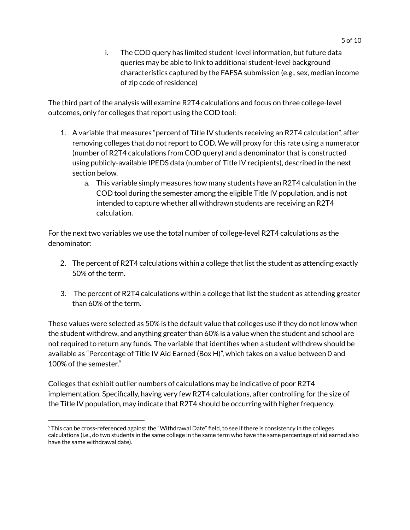i. The COD query has limited student-level information, but future data queries may be able to link to additional student-level background characteristics captured by the FAFSA submission (e.g., sex, median income of zip code of residence)

The third part of the analysis will examine R2T4 calculations and focus on three college-level outcomes, only for colleges that report using the COD tool:

- 1. A variable that measures "percent of Title IV students receiving an R2T4 calculation", after removing colleges that do not report to COD. We will proxy for this rate using a numerator (number of R2T4 calculations from COD query) and a denominator that is constructed using publicly-available IPEDS data (number of Title IV recipients), described in the next section below.
	- a. This variable simply measures how many students have an R2T4 calculation in the COD tool during the semester among the eligible Title IV population, and is not intended to capture whether all withdrawn students are receiving an R2T4 calculation.

For the next two variables we use the total number of college-level R2T4 calculations as the denominator:

- 2. The percent of R2T4 calculations within a college that list the student as attending exactly 50% of the term.
- 3. The percent of R2T4 calculations within a college that list the student as attending greater than 60% of the term.

These values were selected as 50% is the default value that colleges use if they do not know when the student withdrew, and anything greater than 60% is a value when the student and school are not required to return any funds. The variable that identifies when a student withdrew should be available as "Percentage of Title IV Aid Earned (Box H)", which takes on a value between 0 and 100% of the semester. 5

Colleges that exhibit outlier numbers of calculations may be indicative of poor R2T4 implementation. Specifically, having very few R2T4 calculations, after controlling for the size of the Title IV population, may indicate that R2T4 should be occurring with higher frequency.

<sup>&</sup>lt;sup>5</sup> This can be cross-referenced against the "Withdrawal Date" field, to see if there is consistency in the colleges calculations (i.e., do two students in the same college in the same term who have the same percentage of aid earned also have the same withdrawal date).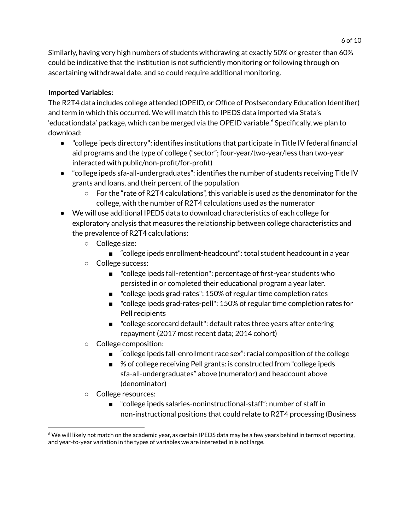Similarly, having very high numbers of students withdrawing at exactly 50% or greater than 60% could be indicative that the institution is not sufficiently monitoring or following through on ascertaining withdrawal date, and so could require additional monitoring.

### **Imported Variables:**

The R2T4 data includes college attended (OPEID, or Office of Postsecondary Education Identifier) and term in which this occurred. We will match this to IPEDS data imported via Stata's 'educationdata' package, which can be merged via the OPEID variable.<sup>6</sup> Specifically, we plan to download:

- "college ipeds directory": identifies institutions that participate in Title IV federal financial aid programs and the type of college ("sector"; four-year/two-year/less than two-year interacted with public/non-profit/for-profit)
- "college ipeds sfa-all-undergraduates": identifies the number of students receiving Title IV grants and loans, and their percent of the population
	- $\circ$  For the "rate of R2T4 calculations", this variable is used as the denominator for the college, with the number of R2T4 calculations used as the numerator
- We will use additional IPEDS data to download characteristics of each college for exploratory analysis that measures the relationship between college characteristics and the prevalence of R2T4 calculations:
	- College size:
		- "college ipeds enrollment-headcount": total student headcount in a year
	- College success:
		- "college ipeds fall-retention": percentage of first-year students who persisted in or completed their educational program a year later.
		- "college ipeds grad-rates": 150% of regular time completion rates
		- "college ipeds grad-rates-pell": 150% of regular time completion rates for Pell recipients
		- "college scorecard default": default rates three years after entering repayment (2017 most recent data; 2014 cohort)
	- College composition:
		- "college ipeds fall-enrollment race sex": racial composition of the college
		- % of college receiving Pell grants: is constructed from "college ipeds sfa-all-undergraduates" above (numerator) and headcount above (denominator)
	- College resources:
		- "college ipeds salaries-noninstructional-staff": number of staff in non-instructional positions that could relate to R2T4 processing (Business

 $6$  We will likely not match on the academic year, as certain IPEDS data may be a few years behind in terms of reporting, and year-to-year variation in the types of variables we are interested in is not large.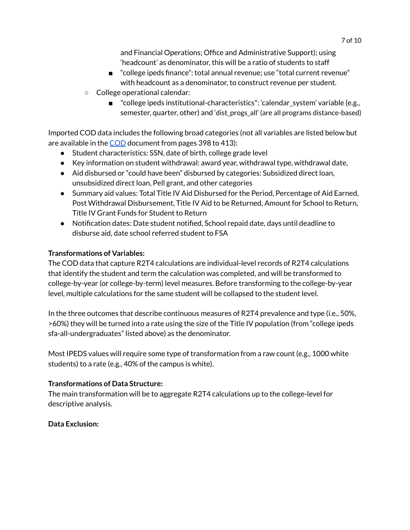and Financial Operations; Office and Administrative Support); using 'headcount' as denominator, this will be a ratio of students to staff

- "college ipeds finance": total annual revenue; use "total current revenue" with headcount as a denominator, to construct revenue per student.
- College operational calendar:
	- "college ipeds institutional-characteristics": 'calendar\_system' variable (e.g., semester, quarter, other) and 'dist\_progs\_all' (are all programs distance-based)

Imported COD data includes the following broad categories (not all variables are listed below but are available in the [COD](https://fsapartners.ed.gov/sites/default/files/attachments/2019-12/2021CODTechRefVol6.pdf) document from pages 398 to 413):

- Student characteristics: SSN, date of birth, college grade level
- $\bullet$  Key information on student withdrawal: award year, withdrawal type, withdrawal date,
- Aid disbursed or "could have been" disbursed by categories: Subsidized direct loan, unsubsidized direct loan, Pell grant, and other categories
- Summary aid values: Total Title IV Aid Disbursed for the Period, Percentage of Aid Earned, Post Withdrawal Disbursement, Title IV Aid to be Returned, Amount for School to Return, Title IV Grant Funds for Student to Return
- Notification dates: Date student notified, School repaid date, days until deadline to disburse aid, date school referred student to FSA

### **Transformations of Variables:**

The COD data that capture R2T4 calculations are individual-level records of R2T4 calculations that identify the student and term the calculation was completed, and will be transformed to college-by-year (or college-by-term) level measures. Before transforming to the college-by-year level, multiple calculations for the same student will be collapsed to the student level.

In the three outcomes that describe continuous measures of R2T4 prevalence and type (i.e., 50%, >60%) they will be turned into a rate using the size of the Title IV population (from "college ipeds sfa-all-undergraduates" listed above) as the denominator.

Most IPEDS values will require some type of transformation from a raw count (e.g., 1000 white students) to a rate (e.g., 40% of the campus is white).

### **Transformations of Data Structure:**

The main transformation will be to aggregate R2T4 calculations up to the college-level for descriptive analysis.

#### **Data Exclusion:**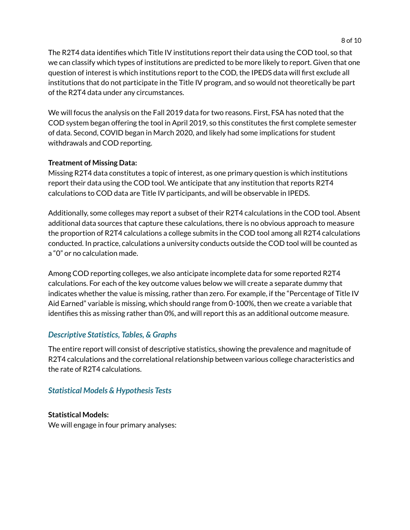The R2T4 data identifies which Title IV institutions report their data using the COD tool, so that we can classify which types of institutions are predicted to be more likely to report. Given that one question of interest is which institutions report to the COD, the IPEDS data will first exclude all institutions that do not participate in the Title IV program, and so would not theoretically be part of the R2T4 data under any circumstances.

We will focus the analysis on the Fall 2019 data for two reasons. First, FSA has noted that the COD system began offering the tool in April 2019, so this constitutes the first complete semester of data. Second, COVID began in March 2020, and likely had some implications for student withdrawals and COD reporting.

#### **Treatment of Missing Data:**

Missing R2T4 data constitutes a topic of interest, as one primary question is which institutions report their data using the COD tool. We anticipate that any institution that reports R2T4 calculations to COD data are Title IV participants, and will be observable in IPEDS.

Additionally, some colleges may report a subset of their R2T4 calculations in the COD tool. Absent additional data sources that capture these calculations, there is no obvious approach to measure the proportion of R2T4 calculations a college submits in the COD tool among all R2T4 calculations conducted. In practice, calculations a university conducts outside the COD tool will be counted as a "0" or no calculation made.

Among COD reporting colleges, we also anticipate incomplete data for some reported R2T4 calculations. For each of the key outcome values below we will create a separate dummy that indicates whether the value is missing, rather than zero. For example, if the "Percentage of Title IV Aid Earned" variable is missing, which should range from 0-100%, then we create a variable that identifies this as missing rather than 0%, and will report this as an additional outcome measure.

### *Descriptive Statistics, Tables, & Graphs*

The entire report will consist of descriptive statistics, showing the prevalence and magnitude of R2T4 calculations and the correlational relationship between various college characteristics and the rate of R2T4 calculations.

### *Statistical Models & Hypothesis Tests*

**Statistical Models:** We will engage in four primary analyses: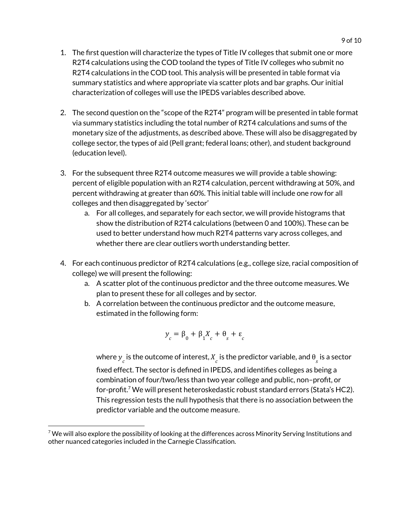- 1. The first question will characterize the types of Title IV colleges that submit one or more R2T4 calculations using the COD tooland the types of Title IV colleges who submit no R2T4 calculations in the COD tool. This analysis will be presented in table format via summary statistics and where appropriate via scatter plots and bar graphs. Our initial characterization of colleges will use the IPEDS variables described above.
- 2. The second question on the "scope of the R2T4" program will be presented in table format via summary statistics including the total number of R2T4 calculations and sums of the monetary size of the adjustments, as described above. These will also be disaggregated by college sector, the types of aid (Pell grant; federal loans; other), and student background (education level).
- 3. For the subsequent three R2T4 outcome measures we will provide a table showing: percent of eligible population with an R2T4 calculation, percent withdrawing at 50%, and percent withdrawing at greater than 60%. This initial table will include one row for all colleges and then disaggregated by 'sector'
	- a. For all colleges, and separately for each sector, we will provide histograms that show the distribution of R2T4 calculations (between 0 and 100%). These can be used to better understand how much R2T4 patterns vary across colleges, and whether there are clear outliers worth understanding better.
- 4. For each continuous predictor of R2T4 calculations (e.g., college size, racial composition of college) we will present the following:
	- a. A scatter plot of the continuous predictor and the three outcome measures. We plan to present these for all colleges and by sector.
	- b. A correlation between the continuous predictor and the outcome measure, estimated in the following form:

$$
y_c = \beta_0 + \beta_1 X_c + \theta_s + \varepsilon_c
$$

where  $\bm{y}_c$  is the outcome of interest,  $X_{\overline{c}}$  is the predictor variable, and  $\bm{\theta}_{\overline{s}}$  is a sector fixed effect. The sector is defined in IPEDS, and identifies colleges as being a combination of four/two/less than two year college and public, non–profit, or for-profit.<sup>7</sup> We will present heteroskedastic robust standard errors (Stata's HC2). This regression tests the null hypothesis that there is no association between the predictor variable and the outcome measure.

 $7$  We will also explore the possibility of looking at the differences across Minority Serving Institutions and other nuanced categories included in the Carnegie Classification.